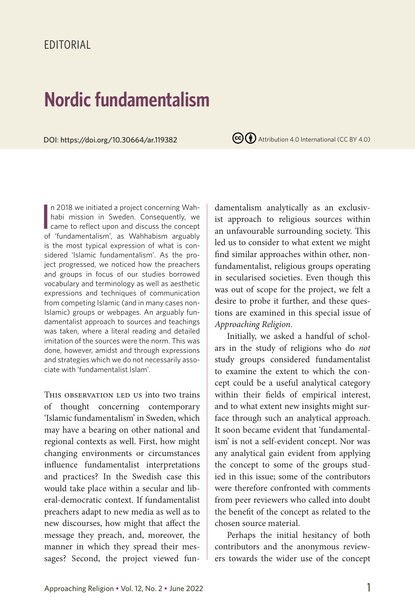## EDITORIAL

## **Nordic fundamentalism**

DOI: https://doi.org/10.30664/ar.119382

 $(cc)(*)$  Attribution 4.0 International (CC BY 4.0)

In 2018 we initiated a project concerning Wah-<br>habi mission in Sweden. Consequently, we<br>came to reflect upon and discuss the concept<br>of 'fundamentalism', as Wahbabism arguably n 2018 we initiated a project concerning Wahhabi mission in Sweden. Consequently, we of 'fundamentalism', as Wahhabism arguably is the most typical expression of what is considered 'Islamic fundamentalism'. As the project progressed, we noticed how the preachers and groups in focus of our studies borrowed vocabulary and terminology as well as aesthetic expressions and techniques of communication from competing Islamic (and in many cases non-Islamic) groups or webpages. An arguably fundamentalist approach to sources and teachings was taken, where a literal reading and detailed imitation of the sources were the norm. This was done, however, amidst and through expressions and strategies which we do not necessarily associate with 'fundamentalist Islam'.

THIS OBSERVATION LED US into two trains of thought concerning contemporary 'Islamic fundamentalism' in Sweden, which may have a bearing on other national and regional contexts as well. First, how might changing environments or circumstances influence fundamentalist interpretations and practices? In the Swedish case this would take place within a secular and liberal-democratic context. If fundamentalist preachers adapt to new media as well as to new discourses, how might that affect the message they preach, and, moreover, the manner in which they spread their messages? Second, the project viewed fundamentalism analytically as an exclusivist approach to religious sources within an unfavourable surrounding society. This led us to consider to what extent we might find similar approaches within other, nonfundamentalist, religious groups operating in secularised societies. Even though this was out of scope for the project, we felt a desire to probe it further, and these questions are examined in this special issue of *Approaching Religion*.

Initially, we asked a handful of scholars in the study of religions who do *not* study groups considered fundamentalist to examine the extent to which the concept could be a useful analytical category within their fields of empirical interest, and to what extent new insights might surface through such an analytical approach. It soon became evident that 'fundamentalism' is not a self-evident concept. Nor was any analytical gain evident from applying the concept to some of the groups studied in this issue; some of the contributors were therefore confronted with comments from peer reviewers who called into doubt the benefit of the concept as related to the chosen source material.

Perhaps the initial hesitancy of both contributors and the anonymous reviewers towards the wider use of the concept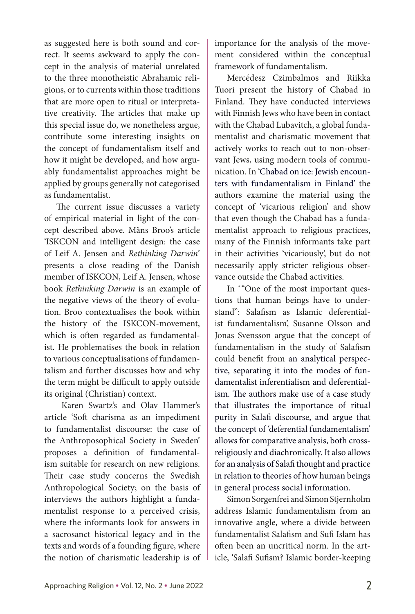as suggested here is both sound and correct. It seems awkward to apply the concept in the analysis of material unrelated to the three monotheistic Abrahamic religions, or to currents within those traditions that are more open to ritual or interpretative creativity. The articles that make up this special issue do, we nonetheless argue, contribute some interesting insights on the concept of fundamentalism itself and how it might be developed, and how arguably fundamentalist approaches might be applied by groups generally not categorised as fundamentalist.

The current issue discusses a variety of empirical material in light of the concept described above. Måns Broo's article 'ISKCON and intelligent design: the case of Leif A. Jensen and *Rethinking Darwin*' presents a close reading of the Danish member of ISKCON, Leif A. Jensen, whose book *Rethinking Darwin* is an example of the negative views of the theory of evolution. Broo contextualises the book within the history of the ISKCON-movement, which is often regarded as fundamentalist. He problematises the book in relation to various conceptualisations of fundamentalism and further discusses how and why the term might be difficult to apply outside its original (Christian) context.

Karen Swartz's and Olav Hammer's article 'Soft charisma as an impediment to fundamentalist discourse: the case of the Anthroposophical Society in Sweden' proposes a definition of fundamentalism suitable for research on new religions. Their case study concerns the Swedish Anthropological Society; on the basis of interviews the authors highlight a fundamentalist response to a perceived crisis, where the informants look for answers in a sacrosanct historical legacy and in the texts and words of a founding figure, where the notion of charismatic leadership is of importance for the analysis of the movement considered within the conceptual framework of fundamentalism.

Mercédesz Czimbalmos and Riikka Tuori present the history of Chabad in Finland. They have conducted interviews with Finnish Jews who have been in contact with the Chabad Lubavitch, a global fundamentalist and charismatic movement that actively works to reach out to non-observant Jews, using modern tools of communication. In 'Chabad on ice: Jewish encounters with fundamentalism in Finland' the authors examine the material using the concept of 'vicarious religion' and show that even though the Chabad has a fundamentalist approach to religious practices, many of the Finnish informants take part in their activities 'vicariously', but do not necessarily apply stricter religious observance outside the Chabad activities.

In '"One of the most important questions that human beings have to understand": Salafism as Islamic deferentialist fundamentalism', Susanne Olsson and Jonas Svensson argue that the concept of fundamentalism in the study of Salafism could benefit from an analytical perspective, separating it into the modes of fundamentalist inferentialism and deferentialism. The authors make use of a case study that illustrates the importance of ritual purity in Salafi discourse, and argue that the concept of 'deferential fundamentalism' allows for comparative analysis, both crossreligiously and diachronically. It also allows for an analysis of Salafi thought and practice in relation to theories of how human beings in general process social information.

Simon Sorgenfrei and Simon Stjernholm address Islamic fundamentalism from an innovative angle, where a divide between fundamentalist Salafism and Sufi Islam has often been an uncritical norm. In the article, 'Salafi Sufism? Islamic border-keeping